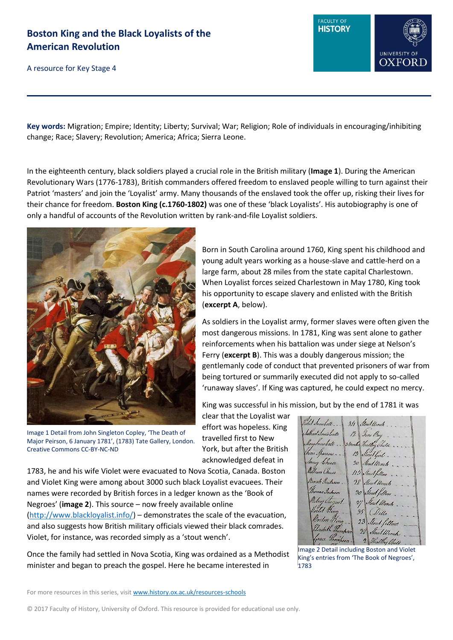A resource for Key Stage 4



**Key words:** Migration; Empire; Identity; Liberty; Survival; War; Religion; Role of individuals in encouraging/inhibiting change; Race; Slavery; Revolution; America; Africa; Sierra Leone.

In the eighteenth century, black soldiers played a crucial role in the British military (**Image 1**). During the American Revolutionary Wars (1776-1783), British commanders offered freedom to enslaved people willing to turn against their Patriot 'masters' and join the 'Loyalist' army. Many thousands of the enslaved took the offer up, risking their lives for their chance for freedom. **Boston King (c.1760-1802)** was one of these 'black Loyalists'. His autobiography is one of only a handful of accounts of the Revolution written by rank-and-file Loyalist soldiers.



Image 1 Detail from John Singleton Copley, 'The Death of Major Peirson, 6 January 1781', (1783) Tate Gallery, London. Creative Commons CC-BY-NC-ND

Born in South Carolina around 1760, King spent his childhood and young adult years working as a house-slave and cattle-herd on a large farm, about 28 miles from the state capital Charlestown. When Loyalist forces seized Charlestown in May 1780, King took his opportunity to escape slavery and enlisted with the British (**excerpt A**, below).

As soldiers in the Loyalist army, former slaves were often given the most dangerous missions. In 1781, King was sent alone to gather reinforcements when his battalion was under siege at Nelson's Ferry (**excerpt B**). This was a doubly dangerous mission; the gentlemanly code of conduct that prevented prisoners of war from being tortured or summarily executed did not apply to so-called 'runaway slaves'. If King was captured, he could expect no mercy.

King was successful in his mission, but by the end of 1781 it was

clear that the Loyalist war effort was hopeless. King travelled first to New York, but after the British acknowledged defeat in

1783, he and his wife Violet were evacuated to Nova Scotia, Canada. Boston and Violet King were among about 3000 such black Loyalist evacuees. Their names were recorded by British forces in a ledger known as the 'Book of Negroes' (**image 2**). This source – now freely available online [\(http://www.blackloyalist.info/\)](http://www.blackloyalist.info/) – demonstrates the scale of the evacuation, and also suggests how British military officials viewed their black comrades. Violet, for instance, was recorded simply as a 'stout wench'.

Once the family had settled in Nova Scotia, King was ordained as a Methodist minister and began to preach the gospel. Here he became interested in

let Innoball .. 3/1 Stout Unch. Inan Inna batt Jene Boy  $/2$ Inow bate . . . Is months Healthy child. na Spannow . . 13 Stout line. y Cheese Sout Winch m Chuse  $115$ And fillen Binah Jackson 28 Gard Wen nas Gachison  $20$ Sugar  $\hbar L$  $\overline{\mathscr{U}}$ Ul King den Ko 23

Image 2 Detail including Boston and Violet King's entries from 'The Book of Negroes', 1783

For more resources in this series, visit [www.history.ox.ac.uk/resources-schools](http://www.history.ox.ac.uk/resources-schools)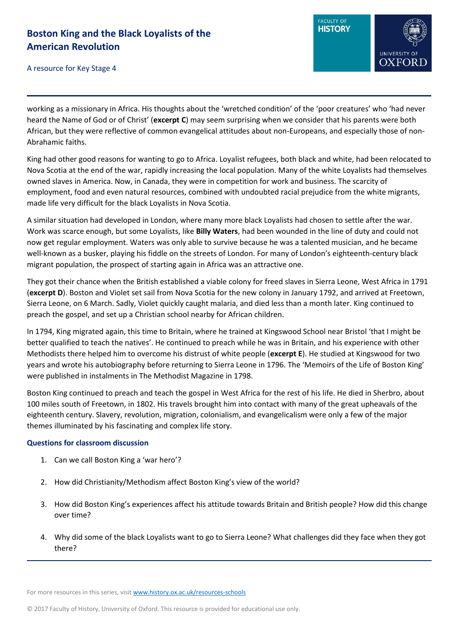

A resource for Key Stage 4

working as a missionary in Africa. His thoughts about the 'wretched condition' of the 'poor creatures' who 'had never heard the Name of God or of Christ' (**excerpt C**) may seem surprising when we consider that his parents were both African, but they were reflective of common evangelical attitudes about non-Europeans, and especially those of non-Abrahamic faiths.

King had other good reasons for wanting to go to Africa. Loyalist refugees, both black and white, had been relocated to Nova Scotia at the end of the war, rapidly increasing the local population. Many of the white Loyalists had themselves owned slaves in America. Now, in Canada, they were in competition for work and business. The scarcity of employment, food and even natural resources, combined with undoubted racial prejudice from the white migrants, made life very difficult for the black Loyalists in Nova Scotia.

A similar situation had developed in London, where many more black Loyalists had chosen to settle after the war. Work was scarce enough, but some Loyalists, like **Billy Waters**, had been wounded in the line of duty and could not now get regular employment. Waters was only able to survive because he was a talented musician, and he became well-known as a busker, playing his fiddle on the streets of London. For many of London's eighteenth-century black migrant population, the prospect of starting again in Africa was an attractive one.

They got their chance when the British established a viable colony for freed slaves in Sierra Leone, West Africa in 1791 (**excerpt D**). Boston and Violet set sail from Nova Scotia for the new colony in January 1792, and arrived at Freetown, Sierra Leone, on 6 March. Sadly, Violet quickly caught malaria, and died less than a month later. King continued to preach the gospel, and set up a Christian school nearby for African children.

In 1794, King migrated again, this time to Britain, where he trained at Kingswood School near Bristol 'that I might be better qualified to teach the natives'. He continued to preach while he was in Britain, and his experience with other Methodists there helped him to overcome his distrust of white people (**excerpt E**). He studied at Kingswood for two years and wrote his autobiography before returning to Sierra Leone in 1796. The 'Memoirs of the Life of Boston King' were published in instalments in The Methodist Magazine in 1798.

Boston King continued to preach and teach the gospel in West Africa for the rest of his life. He died in Sherbro, about 100 miles south of Freetown, in 1802. His travels brought him into contact with many of the great upheavals of the eighteenth century. Slavery, revolution, migration, colonialism, and evangelicalism were only a few of the major themes illuminated by his fascinating and complex life story.

# **Questions for classroom discussion**

- 1. Can we call Boston King a 'war hero'?
- 2. How did Christianity/Methodism affect Boston King's view of the world?
- 3. How did Boston King's experiences affect his attitude towards Britain and British people? How did this change over time?
- 4. Why did some of the black Loyalists want to go to Sierra Leone? What challenges did they face when they got there?

For more resources in this series, visit [www.history.ox.ac.uk/resources-schools](http://www.history.ox.ac.uk/resources-schools)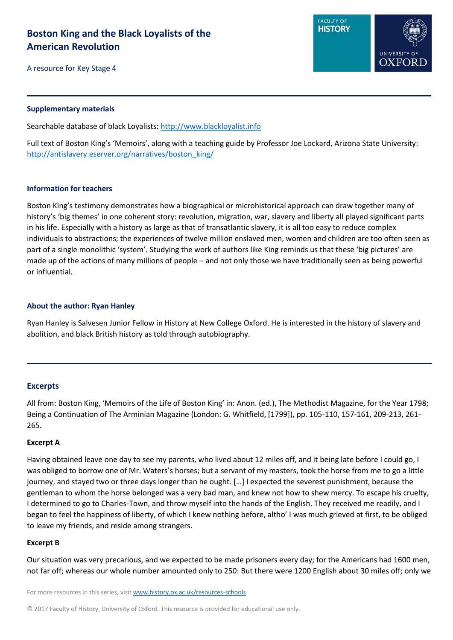A resource for Key Stage 4



Searchable database of black Loyalists: [http://www.blackloyalist.info](http://www.blackloyalist.info/)

Full text of Boston King's 'Memoirs', along with a teaching guide by Professor Joe Lockard, Arizona State University: [http://antislavery.eserver.org/narratives/boston\\_king/](http://antislavery.eserver.org/narratives/boston_king/)

### **Information for teachers**

Boston King's testimony demonstrates how a biographical or microhistorical approach can draw together many of history's 'big themes' in one coherent story: revolution, migration, war, slavery and liberty all played significant parts in his life. Especially with a history as large as that of transatlantic slavery, it is all too easy to reduce complex individuals to abstractions; the experiences of twelve million enslaved men, women and children are too often seen as part of a single monolithic 'system'. Studying the work of authors like King reminds us that these 'big pictures' are made up of the actions of many millions of people – and not only those we have traditionally seen as being powerful or influential.

### **About the author: Ryan Hanley**

Ryan Hanley is Salvesen Junior Fellow in History at New College Oxford. He is interested in the history of slavery and abolition, and black British history as told through autobiography.

# **Excerpts**

All from: Boston King, 'Memoirs of the Life of Boston King' in: Anon. (ed.), The Methodist Magazine, for the Year 1798; Being a Continuation of The Arminian Magazine (London: G. Whitfield, [1799]), pp. 105-110, 157-161, 209-213, 261- 265.

#### **Excerpt A**

Having obtained leave one day to see my parents, who lived about 12 miles off, and it being late before I could go, I was obliged to borrow one of Mr. Waters's horses; but a servant of my masters, took the horse from me to go a little journey, and stayed two or three days longer than he ought. […] I expected the severest punishment, because the gentleman to whom the horse belonged was a very bad man, and knew not how to shew mercy. To escape his cruelty, I determined to go to Charles-Town, and throw myself into the hands of the English. They received me readily, and I began to feel the happiness of liberty, of which I knew nothing before, altho' I was much grieved at first, to be obliged to leave my friends, and reside among strangers.

#### **Excerpt B**

Our situation was very precarious, and we expected to be made prisoners every day; for the Americans had 1600 men, not far off; whereas our whole number amounted only to 250: But there were 1200 English about 30 miles off; only we

For more resources in this series, visit [www.history.ox.ac.uk/resources-schools](http://www.history.ox.ac.uk/resources-schools)

© 2017 Faculty of History, University of Oxford. This resource is provided for educational use only.